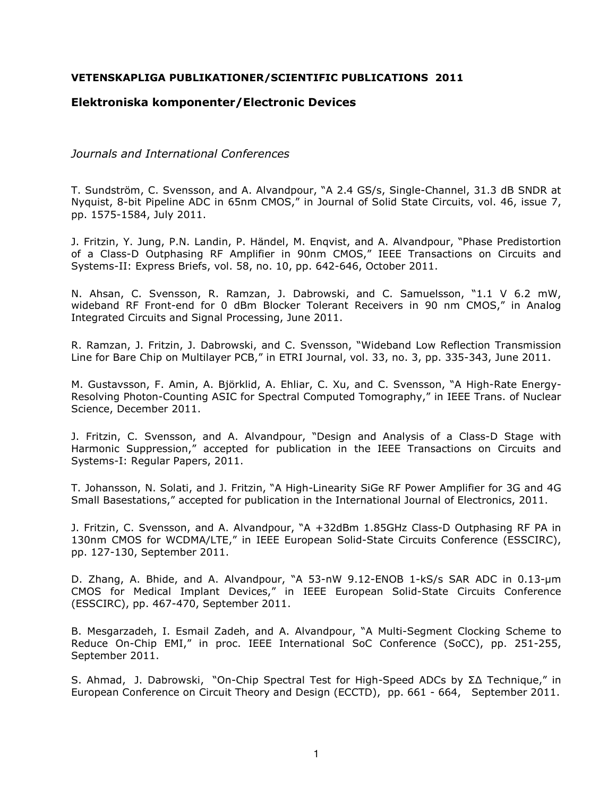## **VETENSKAPLIGA PUBLIKATIONER/SCIENTIFIC PUBLICATIONS 2011**

# **Elektroniska komponenter/Electronic Devices**

*Journals and International Conferences* 

T. Sundström, C. Svensson, and A. Alvandpour, "A 2.4 GS/s, Single-Channel, 31.3 dB SNDR at Nyquist, 8-bit Pipeline ADC in 65nm CMOS," in Journal of Solid State Circuits, vol. 46, issue 7, pp. 1575-1584, July 2011.

J. Fritzin, Y. Jung, P.N. Landin, P. Händel, M. Enqvist, and A. Alvandpour, "Phase Predistortion of a Class-D Outphasing RF Amplifier in 90nm CMOS," IEEE Transactions on Circuits and Systems-II: Express Briefs, vol. 58, no. 10, pp. 642-646, October 2011.

N. Ahsan, C. Svensson, R. Ramzan, J. Dabrowski, and C. Samuelsson, "1.1 V 6.2 mW, wideband RF Front-end for 0 dBm Blocker Tolerant Receivers in 90 nm CMOS," in Analog Integrated Circuits and Signal Processing, June 2011.

R. Ramzan, J. Fritzin, J. Dabrowski, and C. Svensson, "Wideband Low Reflection Transmission Line for Bare Chip on Multilayer PCB," in ETRI Journal, vol. 33, no. 3, pp. 335-343, June 2011.

M. Gustavsson, F. Amin, A. Björklid, A. Ehliar, C. Xu, and C. Svensson, "A High-Rate Energy-Resolving Photon-Counting ASIC for Spectral Computed Tomography," in IEEE Trans. of Nuclear Science, December 2011.

J. Fritzin, C. Svensson, and A. Alvandpour, "Design and Analysis of a Class-D Stage with Harmonic Suppression," accepted for publication in the IEEE Transactions on Circuits and Systems-I: Regular Papers, 2011.

T. Johansson, N. Solati, and J. Fritzin, "A High-Linearity SiGe RF Power Amplifier for 3G and 4G Small Basestations," accepted for publication in the International Journal of Electronics, 2011.

J. Fritzin, C. Svensson, and A. Alvandpour, "A +32dBm 1.85GHz Class-D Outphasing RF PA in 130nm CMOS for WCDMA/LTE," in IEEE European Solid-State Circuits Conference (ESSCIRC), pp. 127-130, September 2011.

D. Zhang, A. Bhide, and A. Alvandpour, "A 53-nW 9.12-ENOB 1-kS/s SAR ADC in 0.13-µm CMOS for Medical Implant Devices," in IEEE European Solid-State Circuits Conference (ESSCIRC), pp. 467-470, September 2011.

B. Mesgarzadeh, I. Esmail Zadeh, and A. Alvandpour, "A Multi-Segment Clocking Scheme to Reduce On-Chip EMI," in proc. IEEE International SoC Conference (SoCC), pp. 251-255, September 2011.

S. Ahmad, J. Dabrowski, "On-Chip Spectral Test for High-Speed ADCs by ΣΔ Technique," in European Conference on Circuit Theory and Design (ECCTD), pp. 661 - 664, September 2011.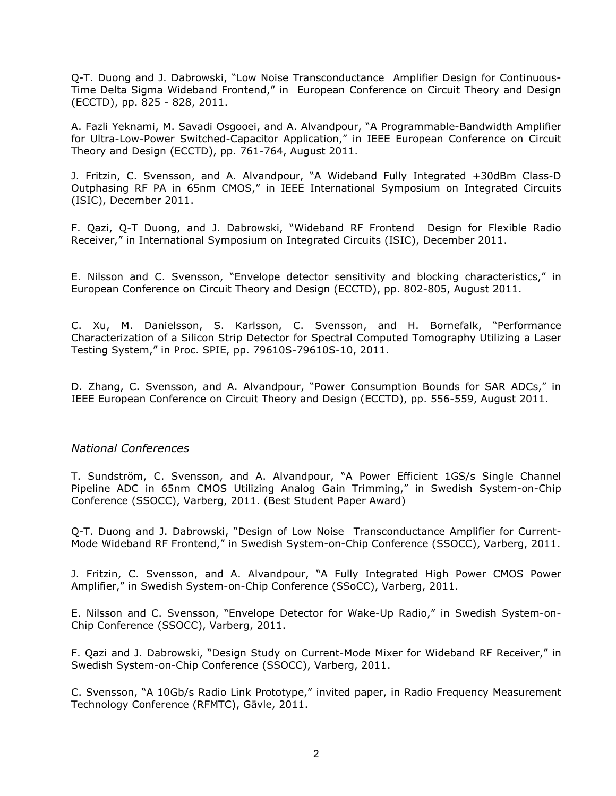Q-T. Duong and J. Dabrowski, "Low Noise Transconductance Amplifier Design for Continuous-Time Delta Sigma Wideband Frontend," in European Conference on Circuit Theory and Design (ECCTD), pp. 825 - 828, 2011.

A. Fazli Yeknami, M. Savadi Osgooei, and A. Alvandpour, "A Programmable-Bandwidth Amplifier for Ultra-Low-Power Switched-Capacitor Application," in IEEE European Conference on Circuit Theory and Design (ECCTD), pp. 761-764, August 2011.

J. Fritzin, C. Svensson, and A. Alvandpour, "A Wideband Fully Integrated +30dBm Class-D Outphasing RF PA in 65nm CMOS," in IEEE International Symposium on Integrated Circuits (ISIC), December 2011.

F. Qazi, Q-T Duong, and J. Dabrowski, "Wideband RF Frontend Design for Flexible Radio Receiver," in International Symposium on Integrated Circuits (ISIC), December 2011.

E. Nilsson and C. Svensson, "Envelope detector sensitivity and blocking characteristics," in European Conference on Circuit Theory and Design (ECCTD), pp. 802-805, August 2011.

C. Xu, M. Danielsson, S. Karlsson, C. Svensson, and H. Bornefalk, "Performance Characterization of a Silicon Strip Detector for Spectral Computed Tomography Utilizing a Laser Testing System," in Proc. SPIE, pp. 79610S-79610S-10, 2011.

D. Zhang, C. Svensson, and A. Alvandpour, "Power Consumption Bounds for SAR ADCs," in IEEE European Conference on Circuit Theory and Design (ECCTD), pp. 556-559, August 2011.

## *National Conferences*

T. Sundström, C. Svensson, and A. Alvandpour, "A Power Efficient 1GS/s Single Channel Pipeline ADC in 65nm CMOS Utilizing Analog Gain Trimming," in Swedish System-on-Chip Conference (SSOCC), Varberg, 2011. (Best Student Paper Award)

Q-T. Duong and J. Dabrowski, "Design of Low Noise Transconductance Amplifier for Current-Mode Wideband RF Frontend," in Swedish System-on-Chip Conference (SSOCC), Varberg, 2011.

J. Fritzin, C. Svensson, and A. Alvandpour, "A Fully Integrated High Power CMOS Power Amplifier," in Swedish System-on-Chip Conference (SSoCC), Varberg, 2011.

E. Nilsson and C. Svensson, "Envelope Detector for Wake-Up Radio," in Swedish System-on-Chip Conference (SSOCC), Varberg, 2011.

F. Qazi and J. Dabrowski, "Design Study on Current-Mode Mixer for Wideband RF Receiver," in Swedish System-on-Chip Conference (SSOCC), Varberg, 2011.

C. Svensson, "A 10Gb/s Radio Link Prototype," invited paper, in Radio Frequency Measurement Technology Conference (RFMTC), Gävle, 2011.